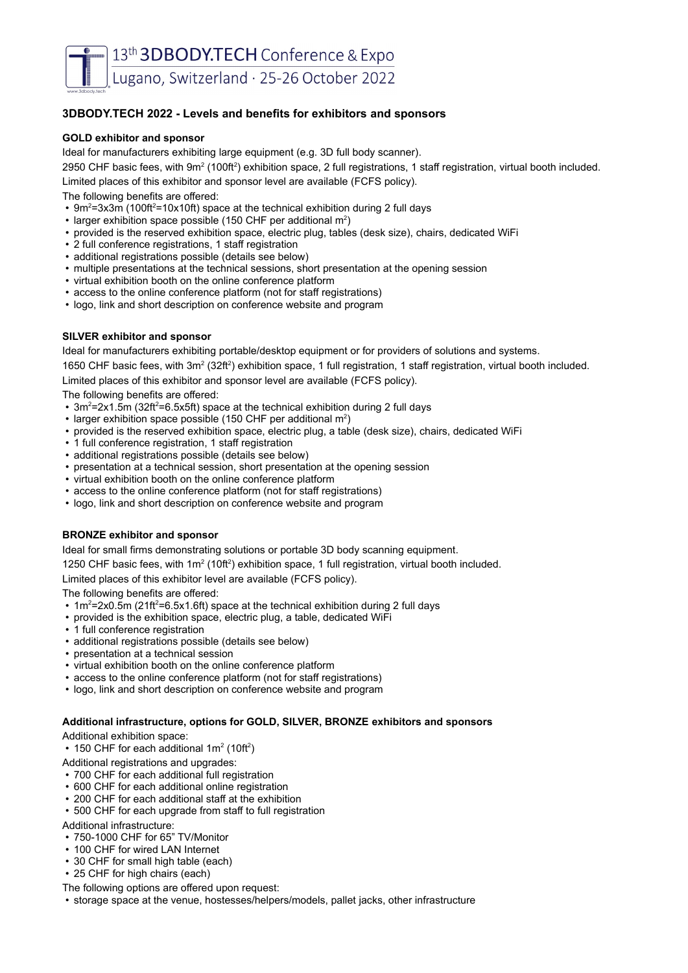13th **3DBODY.TECH** Conference & Expo

Lugano, Switzerland · 25-26 October 2022

# **3DBODY.TECH 2022 - Levels and benefits for exhibitors and sponsors**

## **GOLD exhibitor and sponsor**

Ideal for manufacturers exhibiting large equipment (e.g. 3D full body scanner).

2950 CHF basic fees, with 9m<sup>2</sup> (100ft<sup>2</sup>) exhibition space, 2 full registrations, 1 staff registration, virtual booth included.

Limited places of this exhibitor and sponsor level are available (FCFS policy).

The following benefits are offered:

- $9m^2$ =3x3m (100ft<sup>2</sup>=10x10ft) space at the technical exhibition during 2 full days
- larger exhibition space possible (150 CHF per additional  $\mathsf{m}^2)$
- provided is the reserved exhibition space, electric plug, tables (desk size), chairs, dedicated WiFi
- 2 full conference registrations, 1 staff registration
- additional registrations possible (details see below)
- multiple presentations at the technical sessions, short presentation at the opening session
- virtual exhibition booth on the online conference platform
- access to the online conference platform (not for staff registrations)
- logo, link and short description on conference website and program

## **SILVER exhibitor and sponsor**

Ideal for manufacturers exhibiting portable/desktop equipment or for providers of solutions and systems.

1650 CHF basic fees, with  $3m^2(32ft^2)$  exhibition space, 1 full registration, 1 staff registration, virtual booth included.

Limited places of this exhibitor and sponsor level are available (FCFS policy).

The following benefits are offered:

- 3m<sup>2</sup>=2x1.5m (32ft<sup>2</sup>=6.5x5ft) space at the technical exhibition during 2 full days
- larger exhibition space possible (150 CHF per additional  $m^2$ )
- provided is the reserved exhibition space, electric plug, a table (desk size), chairs, dedicated WiFi
- 1 full conference registration, 1 staff registration
- additional registrations possible (details see below)
- presentation at a technical session, short presentation at the opening session
- virtual exhibition booth on the online conference platform
- access to the online conference platform (not for staff registrations)
- logo, link and short description on conference website and program

## **BRONZE exhibitor and sponsor**

Ideal for small firms demonstrating solutions or portable 3D body scanning equipment.

1250 CHF basic fees, with  $1m^2$  (10ft<sup>2</sup>) exhibition space, 1 full registration, virtual booth included.

Limited places of this exhibitor level are available (FCFS policy).

The following benefits are offered:

- $1m^2$ =2x0.5m (21ft<sup>2</sup>=6.5x1.6ft) space at the technical exhibition during 2 full days
- provided is the exhibition space, electric plug, a table, dedicated WiFi
- 1 full conference registration
- additional registrations possible (details see below)
- presentation at a technical session
- virtual exhibition booth on the online conference platform
- access to the online conference platform (not for staff registrations)
- logo, link and short description on conference website and program

### **Additional infrastructure, options for GOLD, SILVER, BRONZE exhibitors and sponsors**

Additional exhibition space:

 $\bullet\,$  150 CHF for each additional 1m $^2$  (10ft $^2)$ 

- Additional registrations and upgrades:
- 700 CHF for each additional full registration
- 600 CHF for each additional online registration
- 200 CHF for each additional staff at the exhibition
- 500 CHF for each upgrade from staff to full registration

Additional infrastructure:

- 750-1000 CHF for 65" TV/Monitor
- 100 CHF for wired LAN Internet
- 30 CHF for small high table (each)
- 25 CHF for high chairs (each)
- The following options are offered upon request:
- storage space at the venue, hostesses/helpers/models, pallet jacks, other infrastructure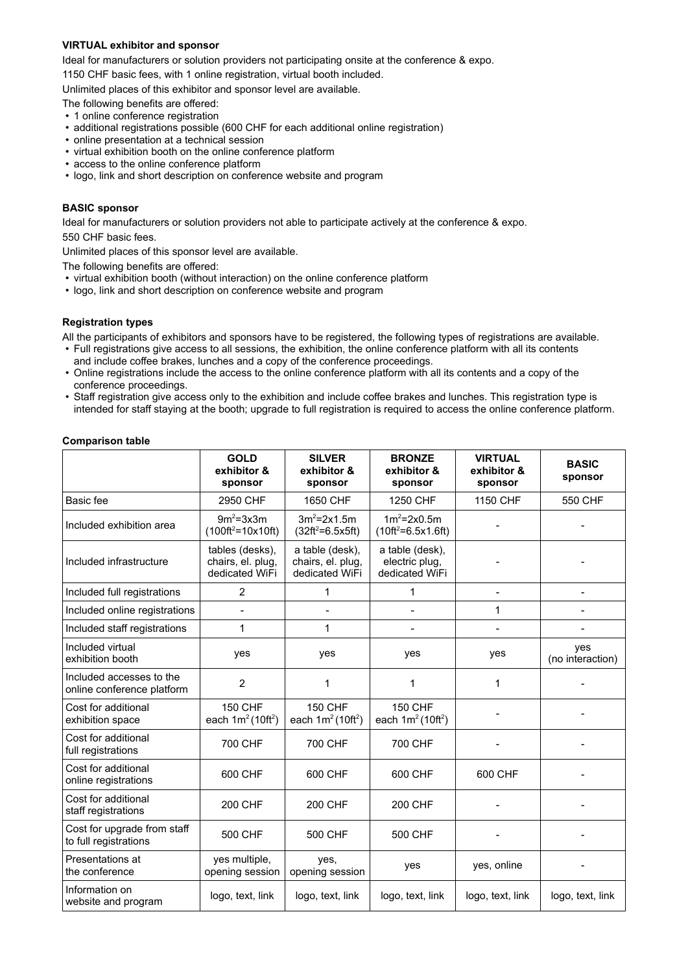## **VIRTUAL exhibitor and sponsor**

Ideal for manufacturers or solution providers not participating onsite at the conference & expo.

1150 CHF basic fees, with 1 online registration, virtual booth included.

Unlimited places of this exhibitor and sponsor level are available.

- The following benefits are offered:
- 1 online conference registration
- additional registrations possible (600 CHF for each additional online registration)
- online presentation at a technical session
- virtual exhibition booth on the online conference platform
- access to the online conference platform
- logo, link and short description on conference website and program

## **BASIC sponsor**

Ideal for manufacturers or solution providers not able to participate actively at the conference & expo.

550 CHF basic fees.

Unlimited places of this sponsor level are available.

The following benefits are offered:

- virtual exhibition booth (without interaction) on the online conference platform
- logo, link and short description on conference website and program

## **Registration types**

All the participants of exhibitors and sponsors have to be registered, the following types of registrations are available.

- Full registrations give access to all sessions, the exhibition, the online conference platform with all its contents and include coffee brakes, lunches and a copy of the conference proceedings.
- Online registrations include the access to the online conference platform with all its contents and a copy of the conference proceedings.
- Staff registration give access only to the exhibition and include coffee brakes and lunches. This registration type is intended for staff staying at the booth; upgrade to full registration is required to access the online conference platform.

#### **Comparison table**

|                                                        | <b>GOLD</b><br>exhibitor &<br>sponsor                  | <b>SILVER</b><br>exhibitor &<br>sponsor                | <b>BRONZE</b><br>exhibitor &<br>sponsor             | <b>VIRTUAL</b><br>exhibitor &<br>sponsor | <b>BASIC</b><br>sponsor      |
|--------------------------------------------------------|--------------------------------------------------------|--------------------------------------------------------|-----------------------------------------------------|------------------------------------------|------------------------------|
| Basic fee                                              | 2950 CHF                                               | 1650 CHF                                               | 1250 CHF                                            | 1150 CHF                                 | 550 CHF                      |
| Included exhibition area                               | $9m^2=3x3m$<br>$(100ft^2 = 10x10ft)$                   | $3m^2 = 2x1.5m$<br>$(32 ft^2 = 6.5 x 5 ft)$            | $1m^2 = 2x0.5m$<br>$(10ft^2 = 6.5x1.6ft)$           |                                          |                              |
| Included infrastructure                                | tables (desks),<br>chairs, el. plug,<br>dedicated WiFi | a table (desk),<br>chairs, el. plug,<br>dedicated WiFi | a table (desk),<br>electric plug,<br>dedicated WiFi |                                          |                              |
| Included full registrations                            | $\overline{2}$                                         | 1                                                      | 1                                                   |                                          | $\qquad \qquad \blacksquare$ |
| Included online registrations                          |                                                        | $\overline{\phantom{a}}$                               | $\overline{\phantom{0}}$                            | 1                                        |                              |
| Included staff registrations                           | 1                                                      | 1                                                      |                                                     |                                          |                              |
| Included virtual<br>exhibition booth                   | yes                                                    | yes                                                    | yes                                                 | yes                                      | yes<br>(no interaction)      |
| Included accesses to the<br>online conference platform | $\overline{2}$                                         | 1                                                      | 1                                                   | 1                                        |                              |
| Cost for additional<br>exhibition space                | <b>150 CHF</b><br>each $1m^2(10ft^2)$                  | <b>150 CHF</b><br>each $1m^2(10ft^2)$                  | <b>150 CHF</b><br>each $1m^2(10ft^2)$               |                                          |                              |
| Cost for additional<br>full registrations              | <b>700 CHF</b>                                         | 700 CHF                                                | 700 CHF                                             |                                          |                              |
| Cost for additional<br>online registrations            | 600 CHF                                                | 600 CHF                                                | 600 CHF                                             | 600 CHF                                  |                              |
| Cost for additional<br>staff registrations             | <b>200 CHF</b>                                         | <b>200 CHF</b>                                         | <b>200 CHF</b>                                      |                                          |                              |
| Cost for upgrade from staff<br>to full registrations   | 500 CHF                                                | 500 CHF                                                | 500 CHF                                             |                                          |                              |
| Presentations at<br>the conference                     | yes multiple,<br>opening session                       | yes,<br>opening session                                | yes                                                 | yes, online                              |                              |
| Information on<br>website and program                  | logo, text, link                                       | logo, text, link                                       | logo, text, link                                    | logo, text, link                         | logo, text, link             |